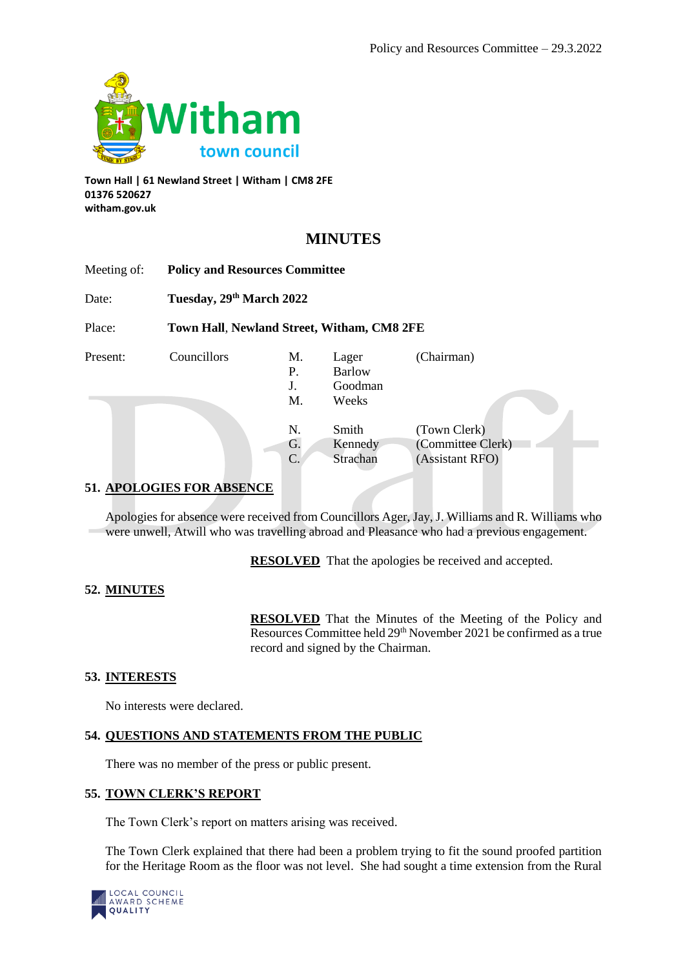

**Town Hall | 61 Newland Street | Witham | CM8 2FE 01376 520627 witham.gov.uk**

# **MINUTES**

| Meeting of: | <b>Policy and Resources Committee</b><br>Tuesday, 29th March 2022<br>Town Hall, Newland Street, Witham, CM8 2FE |                             |                                            |                                                      |
|-------------|-----------------------------------------------------------------------------------------------------------------|-----------------------------|--------------------------------------------|------------------------------------------------------|
| Date:       |                                                                                                                 |                             |                                            |                                                      |
| Place:      |                                                                                                                 |                             |                                            |                                                      |
| Present:    | Councillors                                                                                                     | M.<br>Р.<br>J.<br>М.        | Lager<br><b>Barlow</b><br>Goodman<br>Weeks | (Chairman)                                           |
|             |                                                                                                                 | N.<br>G.<br>$\mathcal{C}$ . | Smith<br>Kennedy<br>Strachan               | (Town Clerk)<br>(Committee Clerk)<br>(Assistant RFO) |

# **51. APOLOGIES FOR ABSENCE**

Apologies for absence were received from Councillors Ager, Jay, J. Williams and R. Williams who were unwell, Atwill who was travelling abroad and Pleasance who had a previous engagement.

**RESOLVED** That the apologies be received and accepted.

# **52. MINUTES**

**RESOLVED** That the Minutes of the Meeting of the Policy and Resources Committee held 29<sup>th</sup> November 2021 be confirmed as a true record and signed by the Chairman.

# **53. INTERESTS**

No interests were declared.

# **54. QUESTIONS AND STATEMENTS FROM THE PUBLIC**

There was no member of the press or public present.

# **55. TOWN CLERK'S REPORT**

The Town Clerk's report on matters arising was received.

The Town Clerk explained that there had been a problem trying to fit the sound proofed partition for the Heritage Room as the floor was not level. She had sought a time extension from the Rural

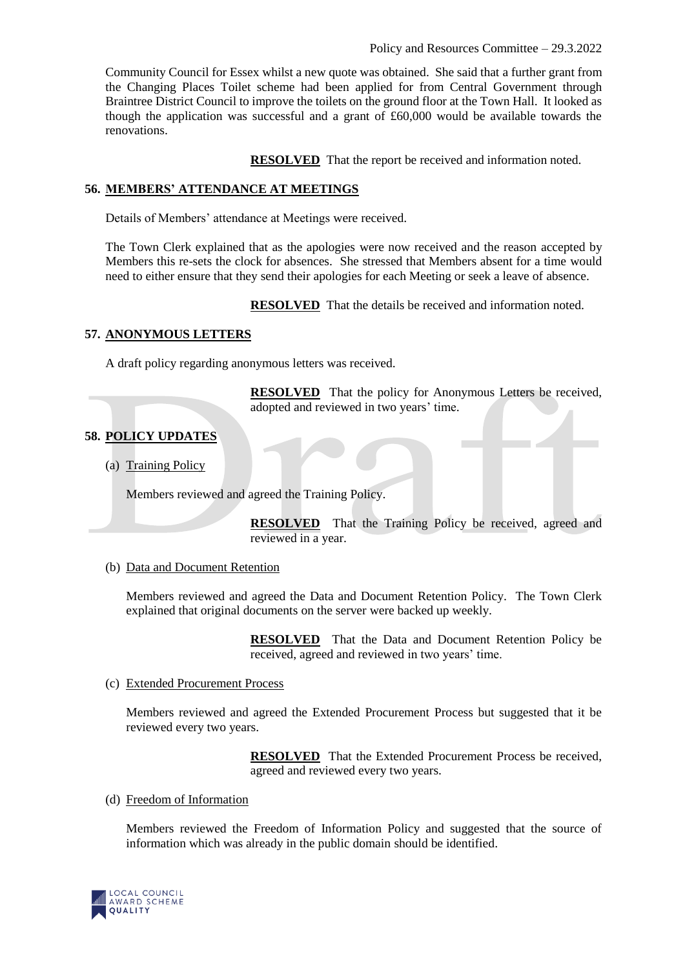Community Council for Essex whilst a new quote was obtained. She said that a further grant from the Changing Places Toilet scheme had been applied for from Central Government through Braintree District Council to improve the toilets on the ground floor at the Town Hall. It looked as though the application was successful and a grant of £60,000 would be available towards the renovations.

**RESOLVED** That the report be received and information noted.

### **56. MEMBERS' ATTENDANCE AT MEETINGS**

Details of Members' attendance at Meetings were received.

The Town Clerk explained that as the apologies were now received and the reason accepted by Members this re-sets the clock for absences. She stressed that Members absent for a time would need to either ensure that they send their apologies for each Meeting or seek a leave of absence.

**RESOLVED** That the details be received and information noted.

# **57. ANONYMOUS LETTERS**

A draft policy regarding anonymous letters was received.

**RESOLVED** That the policy for Anonymous Letters be received, adopted and reviewed in two years' time.

### **58. POLICY UPDATES**

(a) Training Policy

Members reviewed and agreed the Training Policy.

**RESOLVED** That the Training Policy be received, agreed and reviewed in a year.

#### (b) Data and Document Retention

Members reviewed and agreed the Data and Document Retention Policy. The Town Clerk explained that original documents on the server were backed up weekly.

> **RESOLVED** That the Data and Document Retention Policy be received, agreed and reviewed in two years' time.

#### (c) Extended Procurement Process

Members reviewed and agreed the Extended Procurement Process but suggested that it be reviewed every two years.

> **RESOLVED** That the Extended Procurement Process be received, agreed and reviewed every two years.

#### (d) Freedom of Information

Members reviewed the Freedom of Information Policy and suggested that the source of information which was already in the public domain should be identified.

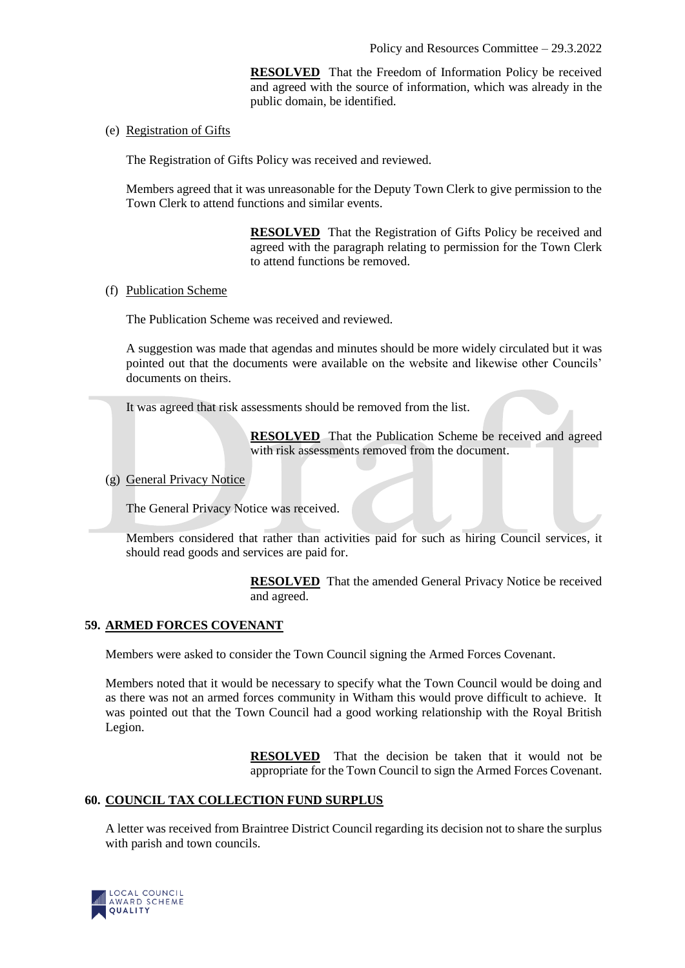**RESOLVED** That the Freedom of Information Policy be received and agreed with the source of information, which was already in the public domain, be identified.

(e) Registration of Gifts

The Registration of Gifts Policy was received and reviewed.

Members agreed that it was unreasonable for the Deputy Town Clerk to give permission to the Town Clerk to attend functions and similar events.

> **RESOLVED** That the Registration of Gifts Policy be received and agreed with the paragraph relating to permission for the Town Clerk to attend functions be removed.

(f) Publication Scheme

The Publication Scheme was received and reviewed.

A suggestion was made that agendas and minutes should be more widely circulated but it was pointed out that the documents were available on the website and likewise other Councils' documents on theirs.

It was agreed that risk assessments should be removed from the list.

**RESOLVED** That the Publication Scheme be received and agreed with risk assessments removed from the document.

(g) General Privacy Notice

The General Privacy Notice was received.

Members considered that rather than activities paid for such as hiring Council services, it should read goods and services are paid for.

> **RESOLVED** That the amended General Privacy Notice be received and agreed.

# **59. ARMED FORCES COVENANT**

Members were asked to consider the Town Council signing the Armed Forces Covenant.

Members noted that it would be necessary to specify what the Town Council would be doing and as there was not an armed forces community in Witham this would prove difficult to achieve. It was pointed out that the Town Council had a good working relationship with the Royal British Legion.

> **RESOLVED** That the decision be taken that it would not be appropriate for the Town Council to sign the Armed Forces Covenant.

# **60. COUNCIL TAX COLLECTION FUND SURPLUS**

A letter was received from Braintree District Council regarding its decision not to share the surplus with parish and town councils.

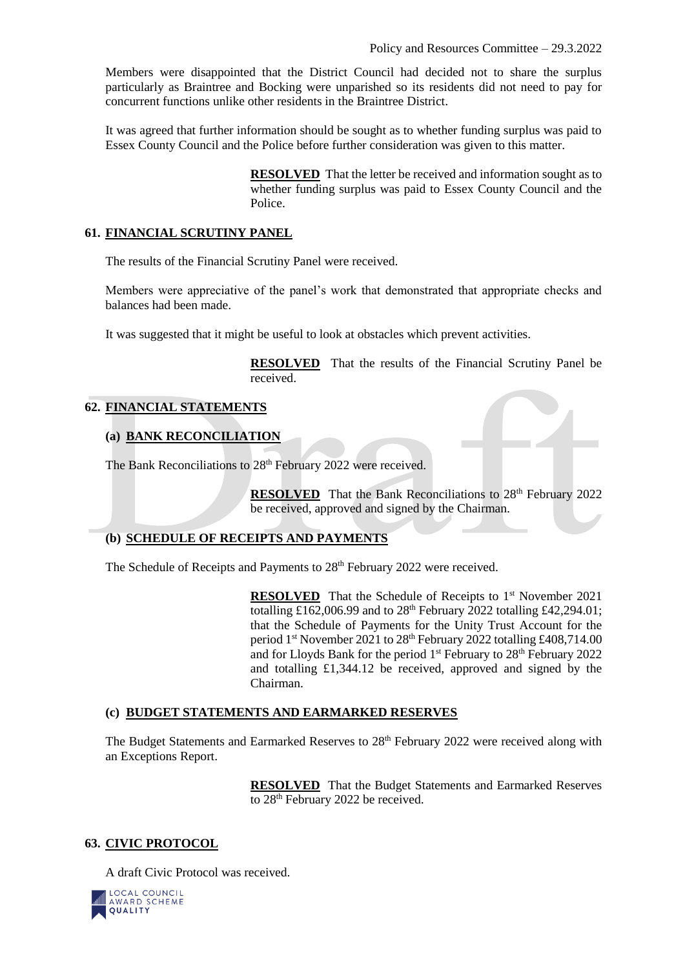Members were disappointed that the District Council had decided not to share the surplus particularly as Braintree and Bocking were unparished so its residents did not need to pay for concurrent functions unlike other residents in the Braintree District.

It was agreed that further information should be sought as to whether funding surplus was paid to Essex County Council and the Police before further consideration was given to this matter.

> **RESOLVED** That the letter be received and information sought as to whether funding surplus was paid to Essex County Council and the Police.

### **61. FINANCIAL SCRUTINY PANEL**

The results of the Financial Scrutiny Panel were received.

Members were appreciative of the panel's work that demonstrated that appropriate checks and balances had been made.

It was suggested that it might be useful to look at obstacles which prevent activities.

**RESOLVED** That the results of the Financial Scrutiny Panel be received.

### **62. FINANCIAL STATEMENTS**

### **(a) BANK RECONCILIATION**

The Bank Reconciliations to 28<sup>th</sup> February 2022 were received.

**RESOLVED** That the Bank Reconciliations to 28<sup>th</sup> February 2022 be received, approved and signed by the Chairman.

### **(b) SCHEDULE OF RECEIPTS AND PAYMENTS**

The Schedule of Receipts and Payments to 28<sup>th</sup> February 2022 were received.

**RESOLVED** That the Schedule of Receipts to 1<sup>st</sup> November 2021 totalling £162,006.99 and to 28<sup>th</sup> February 2022 totalling £42,294.01; that the Schedule of Payments for the Unity Trust Account for the period  $1<sup>st</sup>$  November 2021 to  $28<sup>th</sup>$  February 2022 totalling £408,714.00 and for Lloyds Bank for the period  $1<sup>st</sup>$  February to  $28<sup>th</sup>$  February 2022 and totalling £1,344.12 be received, approved and signed by the Chairman.

#### **(c) BUDGET STATEMENTS AND EARMARKED RESERVES**

The Budget Statements and Earmarked Reserves to  $28<sup>th</sup>$  February 2022 were received along with an Exceptions Report.

> **RESOLVED** That the Budget Statements and Earmarked Reserves to 28<sup>th</sup> February 2022 be received.

# **63. CIVIC PROTOCOL**

A draft Civic Protocol was received.